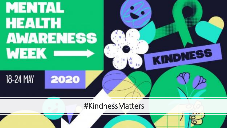

#KindnessMatters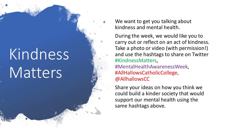## Kindness **Matters**

We want to get you talking about kindness and mental health.

During the week, we would like you to carry out or reflect on an act of kindness. Take a photo or video (with permission!) and use the hashtags to share on Twitter #KindnessMatters, #MentalHealthAwarenessWeek, #AllHallowsCatholicCollege, @AllhallowsCC

Share your ideas on how you think we could build a kinder society that would support our mental health using the same hashtags above.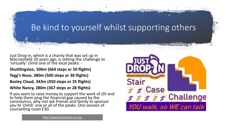# Be kind to yourself whilst supporting others

Just Drop in, which is a charity that was set up in Macclesfield 20 years ago, is setting the challenge to 'virtually' climb one of the local peaks: -

**Shuttlingsloe, 506m (664 steps or 50 flights)** 

**Tegg's Nose, 380m (500 steps or 38 flights)**

**Bosley Cloud, 343m (450 steps or 35 flights)** 

**White Nancy, 280m (367 steps or 28 flights)**

If you want to raise money to support the work of JDI and to help them plug the financial gap caused by the coronavirus, why not ask friends and family to sponsor you to 'climb' one or all of the peaks. One session of counselling coast £30.



<http://www.justdropin.co.uk/>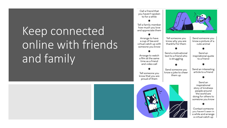## Keep connected online with friends and family



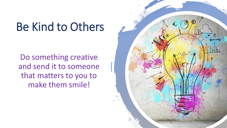### Be Kind to Others

Do something creative and send it to someone that matters to you to make them smile!